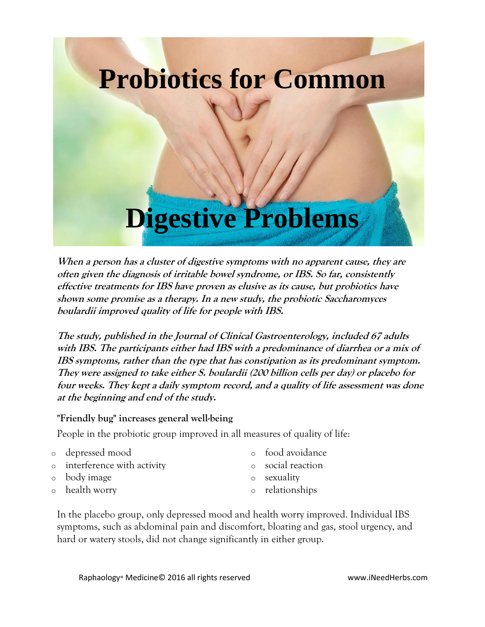

**When a person has a cluster of digestive symptoms with no apparent cause, they are often given the diagnosis of irritable bowel syndrome, or IBS. So far, consistently effective treatments for IBS have proven as elusive as its cause, but probiotics have shown some promise as a therapy. In a new study, the probiotic Saccharomyces boulardii improved quality of life for people with IBS.**

**The study, published in the Journal of Clinical Gastroenterology, included 67 adults with IBS. The participants either had IBS with a predominance of diarrhea or a mix of IBS symptoms, rather than the type that has constipation as its predominant symptom. They were assigned to take either S. boulardii (200 billion cells per day) or placebo for four weeks. They kept a daily symptom record, and a quality of life assessment was done at the beginning and end of the study.**

## **"Friendly bug" increases general well-being**

People in the probiotic group improved in all measures of quality of life:

- o depressed mood
- o interference with activity
- o body image
- o health worry
- o food avoidance
- o social reaction
- o sexuality
- o relationships

In the placebo group, only depressed mood and health worry improved. Individual IBS symptoms, such as abdominal pain and discomfort, bloating and gas, stool urgency, and hard or watery stools, did not change significantly in either group.